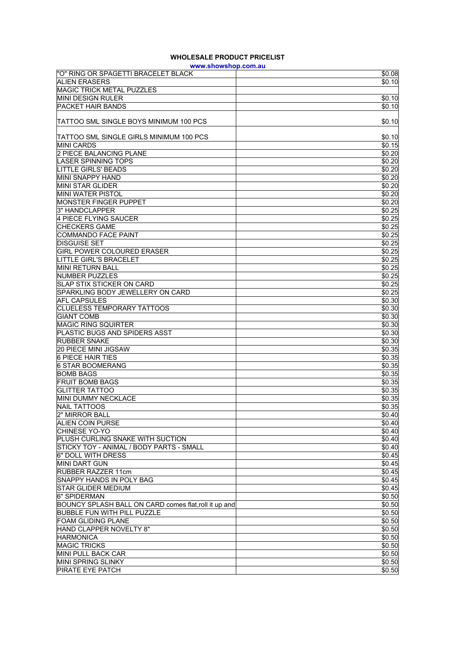## **WHOLESALE PRODUCT PRICELIST**

| www.showshop.com.au                                   |                  |  |
|-------------------------------------------------------|------------------|--|
| "O" RING OR SPAGETTI BRACELET BLACK                   | \$0.08           |  |
| <b>ALIEN ERASERS</b>                                  | \$0.10           |  |
| <b>MAGIC TRICK METAL PUZZLES</b>                      |                  |  |
| MINI DESIGN RULER                                     | \$0.10           |  |
| <b>PACKET HAIR BANDS</b>                              | \$0.10           |  |
|                                                       |                  |  |
| TATTOO SML SINGLE BOYS MINIMUM 100 PCS                | \$0.10           |  |
| TATTOO SML SINGLE GIRLS MINIMUM 100 PCS               | \$0.10           |  |
| MINI CARDS                                            | \$0.15           |  |
| 2 PIECE BALANCING PLANE                               | \$0.20           |  |
| <b>LASER SPINNING TOPS</b>                            | \$0.20           |  |
| <b>LITTLE GIRLS' BEADS</b>                            | \$0.20           |  |
| MINI SNAPPY HAND                                      |                  |  |
| <b>MINI STAR GLIDER</b>                               | \$0.20<br>\$0.20 |  |
| <b>MINI WATER PISTOL</b>                              | \$0.20           |  |
|                                                       |                  |  |
| <b>MONSTER FINGER PUPPET</b><br>3" HANDCLAPPER        | \$0.20<br>\$0.25 |  |
|                                                       |                  |  |
| 4 PIECE FLYING SAUCER<br><b>CHECKERS GAME</b>         | \$0.25           |  |
|                                                       | \$0.25           |  |
| <b>COMMANDO FACE PAINT</b>                            | \$0.25           |  |
| <b>DISGUISE SET</b>                                   | \$0.25           |  |
| <b>GIRL POWER COLOURED ERASER</b>                     | \$0.25           |  |
| <b>LITTLE GIRL'S BRACELET</b>                         | \$0.25           |  |
| MINI RETURN BALL                                      | \$0.25           |  |
| <b>NUMBER PUZZLES</b>                                 | \$0.25           |  |
| <b>SLAP STIX STICKER ON CARD</b>                      | \$0.25           |  |
| SPARKLING BODY JEWELLERY ON CARD                      | \$0.25           |  |
| <b>AFL CAPSULES</b>                                   | \$0.30           |  |
| <b>CLUELESS TEMPORARY TATTOOS</b>                     | \$0.30           |  |
| <b>GIANT COMB</b>                                     | \$0.30           |  |
| <b>MAGIC RING SQUIRTER</b>                            | \$0.30           |  |
| PLASTIC BUGS AND SPIDERS ASST                         | \$0.30           |  |
| <b>RUBBER SNAKE</b>                                   | \$0.30           |  |
| <b>20 PIECE MINI JIGSAW</b>                           | \$0.35           |  |
| <b>6 PIECE HAIR TIES</b>                              | \$0.35           |  |
| <b>6 STAR BOOMERANG</b>                               | \$0.35           |  |
| <b>BOMB BAGS</b>                                      | \$0.35           |  |
| <b>FRUIT BOMB BAGS</b>                                | \$0.35           |  |
| <b>GLITTER TATTOO</b>                                 | \$0.35           |  |
| MINI DUMMY NECKLACE                                   | \$0.35           |  |
| <b>NAIL TATTOOS</b>                                   | \$0.35           |  |
| 2" MIRROR BALL                                        | \$0.40           |  |
| <b>ALIEN COIN PURSE</b>                               | \$0.40           |  |
| CHINESE YO-YO                                         | \$0.40           |  |
| PLUSH CURLING SNAKE WITH SUCTION                      | \$0.40           |  |
| STICKY TOY - ANIMAL / BODY PARTS - SMALL              | \$0.40           |  |
| 6" DOLL WITH DRESS                                    | \$0.45           |  |
| <b>MINI DART GUN</b>                                  | \$0.45           |  |
| <b>RUBBER RAZZER 11cm</b>                             | \$0.45           |  |
| <b>SNAPPY HANDS IN POLY BAG</b>                       | \$0.45           |  |
| <b>STAR GLIDER MEDIUM</b>                             | \$0.45           |  |
| 6" SPIDERMAN                                          | \$0.50           |  |
| BOUNCY SPLASH BALL ON CARD comes flat, roll it up and | \$0.50           |  |
| <b>BUBBLE FUN WITH PILL PUZZLE</b>                    | \$0.50           |  |
| FOAM GLIDING PLANE                                    | \$0.50           |  |
| HAND CLAPPER NOVELTY 8"                               | \$0.50           |  |
| <b>HARMONICA</b>                                      | \$0.50           |  |
| <b>MAGIC TRICKS</b>                                   | \$0.50           |  |
| MINI PULL BACK CAR                                    | \$0.50           |  |
| MINI SPRING SLINKY                                    | \$0.50           |  |
| PIRATE EYE PATCH                                      | \$0.50           |  |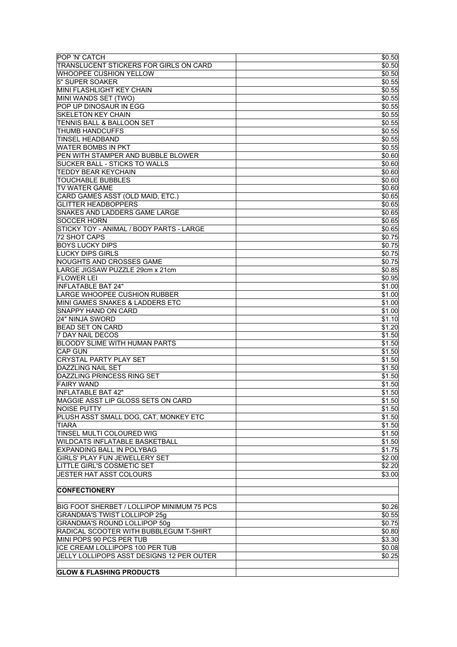| POP 'N' CATCH                                    | \$0.50              |
|--------------------------------------------------|---------------------|
| TRANSLUCENT STICKERS FOR GIRLS ON CARD           | \$0.50              |
| <b>WHOOPEE CUSHION YELLOW</b>                    | \$0.50              |
| 5" SUPER SOAKER                                  | \$0.55              |
| MINI FLASHLIGHT KEY CHAIN                        | \$0.55              |
| MINI WANDS SET (TWO)                             | \$0.55              |
|                                                  |                     |
| POP UP DINOSAUR IN EGG                           | \$0.55              |
| <b>SKELETON KEY CHAIN</b>                        | \$0.55              |
| TENNIS BALL & BALLOON SET                        | \$0.55              |
| THUMB HANDCUFFS                                  | \$0.55              |
| <b>TINSEL HEADBAND</b>                           | \$0.55              |
| <b>WATER BOMBS IN PKT</b>                        | \$0.55              |
| PEN WITH STAMPER AND BUBBLE BLOWER               | \$0.60              |
| SUCKER BALL - STICKS TO WALLS                    | \$0.60              |
| <b>TEDDY BEAR KEYCHAIN</b>                       | \$0.60              |
| <b>TOUCHABLE BUBBLES</b>                         | \$0.60              |
| <b>TV WATER GAME</b>                             | \$0.60              |
|                                                  |                     |
| CARD GAMES ASST (OLD MAID, ETC.)                 | \$0.65              |
| <b>GLITTER HEADBOPPERS</b>                       | \$0.65              |
| SNAKES AND LADDERS GAME LARGE                    | \$0.65              |
| <b>SOCCER HORN</b>                               | \$0.65              |
| STICKY TOY - ANIMAL / BODY PARTS - LARGE         | \$0.65              |
| 72 SHOT CAPS                                     | \$0.75              |
| <b>BOYS LUCKY DIPS</b>                           | \$0.75              |
| <b>LUCKY DIPS GIRLS</b>                          | \$0.75              |
| NOUGHTS AND CROSSES GAME                         | \$0.75              |
| LARGE JIGSAW PUZZLE 29cm x 21cm                  | $\overline{$}0.85$  |
|                                                  |                     |
| <b>FLOWER LEI</b>                                | \$0.95              |
| <b>INFLATABLE BAT 24"</b>                        | \$1.00              |
| <b>LARGE WHOOPEE CUSHION RUBBER</b>              | \$1.00              |
| MINI GAMES SNAKES & LADDERS ETC                  | \$1.00              |
| <b>SNAPPY HAND ON CARD</b>                       | \$1.00              |
| 24" NINJA SWORD                                  | \$1.10              |
| <b>BEAD SET ON CARD</b>                          | \$1.20              |
| <b>7 DAY NAIL DECOS</b>                          | \$1.50              |
| <b>BLOODY SLIME WITH HUMAN PARTS</b>             | \$1.50              |
| <b>CAP GUN</b>                                   | \$1.50              |
|                                                  |                     |
| <b>CRYSTAL PARTY PLAY SET</b>                    | \$1.50              |
| <b>DAZZLING NAIL SET</b>                         | $\overline{\$1.50}$ |
| DAZZLING PRINCESS RING SET                       | \$1.50              |
| <b>FAIRY WAND</b>                                | \$1.50              |
| <b>INFLATABLE BAT 42"</b>                        | \$1.50              |
| MAGGIE ASST LIP GLOSS SETS ON CARD               | \$1.50              |
| <b>NOISE PUTTY</b>                               | \$1.50              |
| PLUSH ASST SMALL DOG, CAT, MONKEY ETC            | \$1.50              |
| <b>TIARA</b>                                     | \$1.50              |
| TINSEL MULTI COLOURED WIG                        | \$1.50              |
|                                                  |                     |
| <b>WILDCATS INFLATABLE BASKETBALL</b>            | \$1.50              |
| <b>EXPANDING BALL IN POLYBAG</b>                 | \$1.75              |
| <b>GIRLS' PLAY FUN JEWELLERY SET</b>             | \$2.00              |
| <b>LITTLE GIRL'S COSMETIC SET</b>                | \$2.20              |
| JESTER HAT ASST COLOURS                          | \$3.00              |
|                                                  |                     |
| <b>CONFECTIONERY</b>                             |                     |
|                                                  |                     |
| BIG FOOT SHERBET / LOLLIPOP MINIMUM 75 PCS       | 50.26               |
| <b>GRANDMA'S TWIST LOLLIPOP 25g</b>              | \$0.55              |
|                                                  |                     |
| <b>GRANDMA'S ROUND LOLLIPOP 50g</b>              | \$0.75              |
| RADICAL SCOOTER WITH BUBBLEGUM T-SHIRT           | \$0.80              |
| MINI POPS 90 PCS PER TUB                         | \$3.30              |
| ICE CREAM LOLLIPOPS 100 PER TUB                  | \$0.08              |
| <b>JELLY LOLLIPOPS ASST DESIGNS 12 PER OUTER</b> | \$0.25              |
|                                                  |                     |
| <b>GLOW &amp; FLASHING PRODUCTS</b>              |                     |